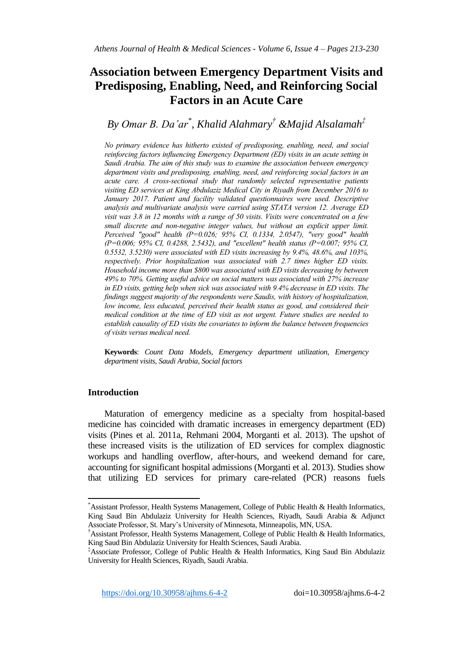# **Association between Emergency Department Visits and Predisposing, Enabling, Need, and Reinforcing Social Factors in an Acute Care**

# *By Omar B. Da'ar\* , Khalid Alahmary† &Majid Alsalamah‡*

*No primary evidence has hitherto existed of predisposing, enabling, need, and social reinforcing factors influencing Emergency Department (ED) visits in an acute setting in Saudi Arabia. The aim of this study was to examine the association between emergency department visits and predisposing, enabling, need, and reinforcing social factors in an acute care. A cross-sectional study that randomly selected representative patients visiting ED services at King Abdulaziz Medical City in Riyadh from December 2016 to January 2017. Patient and facility validated questionnaires were used. Descriptive analysis and multivariate analysis were carried using STATA version 12. Average ED visit was 3.8 in 12 months with a range of 50 visits. Visits were concentrated on a few small discrete and non-negative integer values, but without an explicit upper limit. Perceived "good" health (P=0.026; 95% CI, 0.1334, 2.0547), "very good" health (P=0.006; 95% CI, 0.4288, 2.5432), and "excellent" health status (P=0.007; 95% CI, 0.5532, 3.5230) were associated with ED visits increasing by 9.4%, 48.6%, and 103%, respectively. Prior hospitalization was associated with 2.7 times higher ED visits. Household income more than \$800 was associated with ED visits decreasing by between 49% to 70%. Getting useful advice on social matters was associated with 27% increase in ED visits, getting help when sick was associated with 9.4% decrease in ED visits. The findings suggest majority of the respondents were Saudis, with history of hospitalization, low income, less educated, perceived their health status as good, and considered their medical condition at the time of ED visit as not urgent. Future studies are needed to establish causality of ED visits the covariates to inform the balance between frequencies of visits versus medical need.*

**Keywords**: *Count Data Models, Emergency department utilization, Emergency department visits, Saudi Arabia, Social factors*

# **Introduction**

 $\overline{a}$ 

Maturation of emergency medicine as a specialty from hospital-based medicine has coincided with dramatic increases in emergency department (ED) visits (Pines et al. 2011a, Rehmani 2004, Morganti et al. 2013). The upshot of these increased visits is the utilization of ED services for complex diagnostic workups and handling overflow, after-hours, and weekend demand for care, accounting for significant hospital admissions (Morganti et al. 2013). Studies show that utilizing ED services for primary care-related (PCR) reasons fuels

<sup>\*</sup>Assistant Professor, Health Systems Management, College of Public Health & Health Informatics, King Saud Bin Abdulaziz University for Health Sciences, Riyadh, Saudi Arabia & Adjunct Associate Professor, St. Mary's University of Minnesota, Minneapolis, MN, USA.

<sup>†</sup>Assistant Professor, Health Systems Management, College of Public Health & Health Informatics, King Saud Bin Abdulaziz University for Health Sciences, Saudi Arabia.

<sup>‡</sup>Associate Professor, College of Public Health & Health Informatics, King Saud Bin Abdulaziz University for Health Sciences, Riyadh, Saudi Arabia.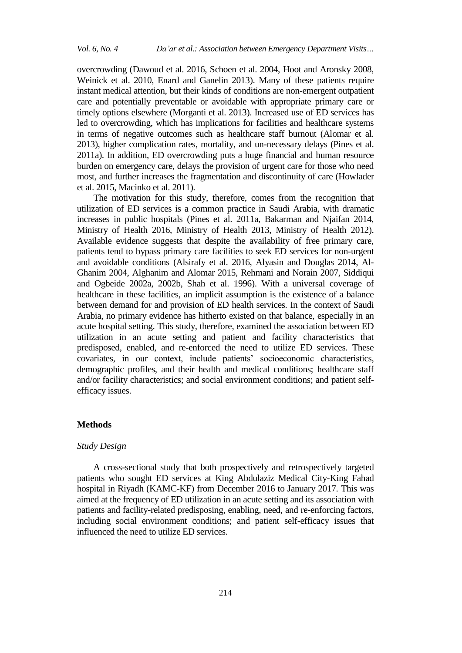overcrowding (Dawoud et al. 2016, Schoen et al. 2004, Hoot and Aronsky 2008, Weinick et al. 2010, Enard and Ganelin 2013). Many of these patients require instant medical attention, but their kinds of conditions are non-emergent outpatient care and potentially preventable or avoidable with appropriate primary care or timely options elsewhere (Morganti et al. 2013). Increased use of ED services has led to overcrowding, which has implications for facilities and healthcare systems in terms of negative outcomes such as healthcare staff burnout (Alomar et al. 2013), higher complication rates, mortality, and un-necessary delays (Pines et al. 2011a). In addition, ED overcrowding puts a huge financial and human resource burden on emergency care, delays the provision of urgent care for those who need most, and further increases the fragmentation and discontinuity of care (Howlader et al. 2015, Macinko et al. 2011).

The motivation for this study, therefore, comes from the recognition that utilization of ED services is a common practice in Saudi Arabia, with dramatic increases in public hospitals (Pines et al. 2011a, Bakarman and Njaifan 2014, Ministry of Health 2016, Ministry of Health 2013, Ministry of Health 2012). Available evidence suggests that despite the availability of free primary care, patients tend to bypass primary care facilities to seek ED services for non-urgent and avoidable conditions (Alsirafy et al. 2016, Alyasin and Douglas 2014, Al-Ghanim 2004, Alghanim and Alomar 2015, Rehmani and Norain 2007, Siddiqui and Ogbeide 2002a, 2002b, Shah et al. 1996). With a universal coverage of healthcare in these facilities, an implicit assumption is the existence of a balance between demand for and provision of ED health services. In the context of Saudi Arabia, no primary evidence has hitherto existed on that balance, especially in an acute hospital setting. This study, therefore, examined the association between ED utilization in an acute setting and patient and facility characteristics that predisposed, enabled, and re-enforced the need to utilize ED services. These covariates, in our context, include patients' socioeconomic characteristics, demographic profiles, and their health and medical conditions; healthcare staff and/or facility characteristics; and social environment conditions; and patient selfefficacy issues.

#### **Methods**

# *Study Design*

A cross-sectional study that both prospectively and retrospectively targeted patients who sought ED services at King Abdulaziz Medical City-King Fahad hospital in Riyadh (KAMC-KF) from December 2016 to January 2017. This was aimed at the frequency of ED utilization in an acute setting and its association with patients and facility-related predisposing, enabling, need, and re-enforcing factors, including social environment conditions; and patient self-efficacy issues that influenced the need to utilize ED services.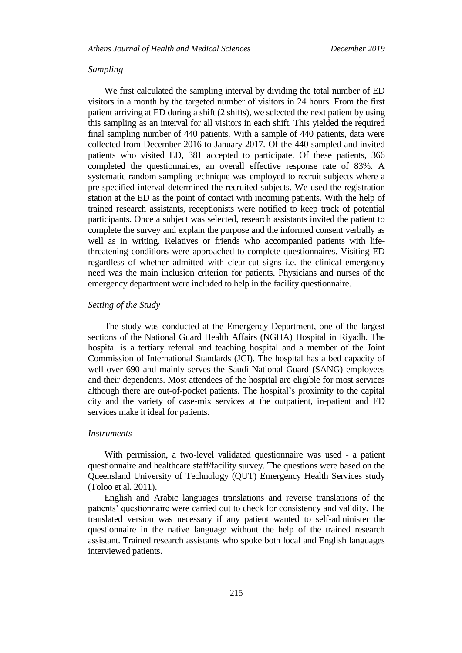# *Sampling*

We first calculated the sampling interval by dividing the total number of ED visitors in a month by the targeted number of visitors in 24 hours. From the first patient arriving at ED during a shift (2 shifts), we selected the next patient by using this sampling as an interval for all visitors in each shift. This yielded the required final sampling number of 440 patients. With a sample of 440 patients, data were collected from December 2016 to January 2017. Of the 440 sampled and invited patients who visited ED, 381 accepted to participate. Of these patients, 366 completed the questionnaires, an overall effective response rate of 83%. A systematic random sampling technique was employed to recruit subjects where a pre-specified interval determined the recruited subjects. We used the registration station at the ED as the point of contact with incoming patients. With the help of trained research assistants, receptionists were notified to keep track of potential participants. Once a subject was selected, research assistants invited the patient to complete the survey and explain the purpose and the informed consent verbally as well as in writing. Relatives or friends who accompanied patients with lifethreatening conditions were approached to complete questionnaires. Visiting ED regardless of whether admitted with clear-cut signs i.e. the clinical emergency need was the main inclusion criterion for patients. Physicians and nurses of the emergency department were included to help in the facility questionnaire.

# *Setting of the Study*

The study was conducted at the Emergency Department, one of the largest sections of the National Guard Health Affairs (NGHA) Hospital in Riyadh. The hospital is a tertiary referral and teaching hospital and a member of the Joint Commission of International Standards (JCI). The hospital has a bed capacity of well over 690 and mainly serves the Saudi National Guard (SANG) employees and their dependents. Most attendees of the hospital are eligible for most services although there are out-of-pocket patients. The hospital's proximity to the capital city and the variety of case-mix services at the outpatient, in-patient and ED services make it ideal for patients.

## *Instruments*

With permission, a two-level validated questionnaire was used - a patient questionnaire and healthcare staff/facility survey. The questions were based on the Queensland University of Technology (QUT) Emergency Health Services study (Toloo et al. 2011).

English and Arabic languages translations and reverse translations of the patients' questionnaire were carried out to check for consistency and validity. The translated version was necessary if any patient wanted to self-administer the questionnaire in the native language without the help of the trained research assistant. Trained research assistants who spoke both local and English languages interviewed patients.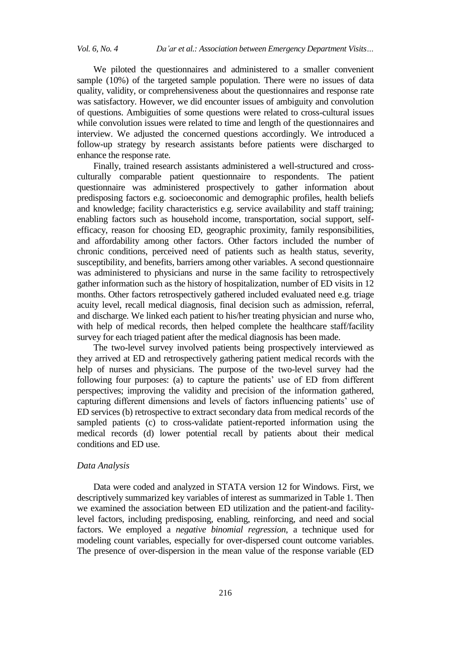We piloted the questionnaires and administered to a smaller convenient sample (10%) of the targeted sample population. There were no issues of data quality, validity, or comprehensiveness about the questionnaires and response rate was satisfactory. However, we did encounter issues of ambiguity and convolution of questions. Ambiguities of some questions were related to cross-cultural issues while convolution issues were related to time and length of the questionnaires and interview. We adjusted the concerned questions accordingly. We introduced a follow-up strategy by research assistants before patients were discharged to enhance the response rate.

Finally, trained research assistants administered a well-structured and crossculturally comparable patient questionnaire to respondents. The patient questionnaire was administered prospectively to gather information about predisposing factors e.g. socioeconomic and demographic profiles, health beliefs and knowledge; facility characteristics e.g. service availability and staff training; enabling factors such as household income, transportation, social support, selfefficacy, reason for choosing ED, geographic proximity, family responsibilities, and affordability among other factors. Other factors included the number of chronic conditions, perceived need of patients such as health status, severity, susceptibility, and benefits, barriers among other variables. A second questionnaire was administered to physicians and nurse in the same facility to retrospectively gather information such as the history of hospitalization, number of ED visits in 12 months. Other factors retrospectively gathered included evaluated need e.g. triage acuity level, recall medical diagnosis, final decision such as admission, referral, and discharge. We linked each patient to his/her treating physician and nurse who, with help of medical records, then helped complete the healthcare staff/facility survey for each triaged patient after the medical diagnosis has been made.

The two-level survey involved patients being prospectively interviewed as they arrived at ED and retrospectively gathering patient medical records with the help of nurses and physicians. The purpose of the two-level survey had the following four purposes: (a) to capture the patients' use of ED from different perspectives; improving the validity and precision of the information gathered, capturing different dimensions and levels of factors influencing patients' use of ED services (b) retrospective to extract secondary data from medical records of the sampled patients (c) to cross-validate patient-reported information using the medical records (d) lower potential recall by patients about their medical conditions and ED use.

### *Data Analysis*

Data were coded and analyzed in STATA version 12 for Windows. First, we descriptively summarized key variables of interest as summarized in Table 1. Then we examined the association between ED utilization and the patient-and facilitylevel factors, including predisposing, enabling, reinforcing, and need and social factors. We employed a *negative binomial regression*, a technique used for modeling count variables, especially for over-dispersed count outcome variables. The presence of over-dispersion in the mean value of the response variable (ED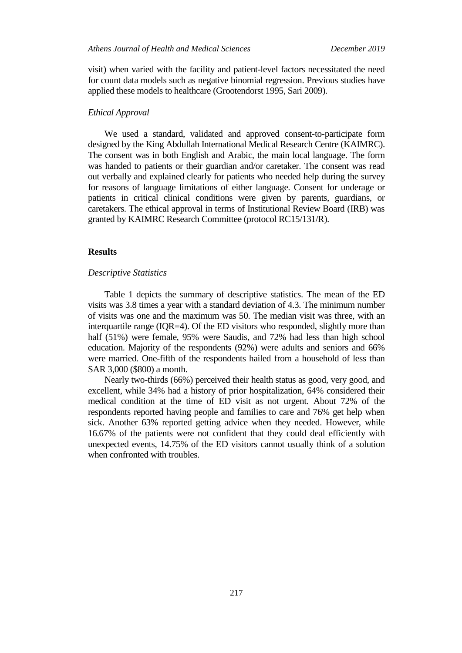visit) when varied with the facility and patient-level factors necessitated the need for count data models such as negative binomial regression. Previous studies have applied these models to healthcare (Grootendorst 1995, Sari 2009).

#### *Ethical Approval*

We used a standard, validated and approved consent-to-participate form designed by the King Abdullah International Medical Research Centre (KAIMRC). The consent was in both English and Arabic, the main local language. The form was handed to patients or their guardian and/or caretaker. The consent was read out verbally and explained clearly for patients who needed help during the survey for reasons of language limitations of either language. Consent for underage or patients in critical clinical conditions were given by parents, guardians, or caretakers. The ethical approval in terms of Institutional Review Board (IRB) was granted by KAIMRC Research Committee (protocol RC15/131/R).

# **Results**

#### *Descriptive Statistics*

Table 1 depicts the summary of descriptive statistics. The mean of the ED visits was 3.8 times a year with a standard deviation of 4.3. The minimum number of visits was one and the maximum was 50. The median visit was three, with an interquartile range (IQR=4). Of the ED visitors who responded, slightly more than half (51%) were female, 95% were Saudis, and 72% had less than high school education. Majority of the respondents (92%) were adults and seniors and 66% were married. One-fifth of the respondents hailed from a household of less than SAR 3,000 (\$800) a month.

Nearly two-thirds (66%) perceived their health status as good, very good, and excellent, while 34% had a history of prior hospitalization, 64% considered their medical condition at the time of ED visit as not urgent. About 72% of the respondents reported having people and families to care and 76% get help when sick. Another 63% reported getting advice when they needed. However, while 16.67% of the patients were not confident that they could deal efficiently with unexpected events, 14.75% of the ED visitors cannot usually think of a solution when confronted with troubles.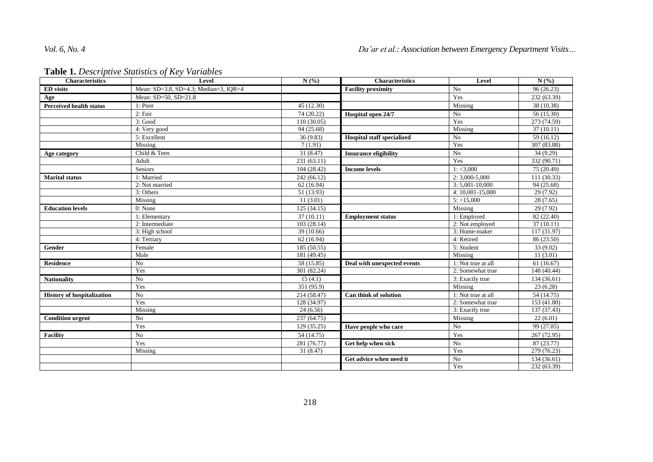| <b>Characteristics</b>            | Level                                 | N(%)        | <b>Characteristics</b>            | Level              | N(%)        |
|-----------------------------------|---------------------------------------|-------------|-----------------------------------|--------------------|-------------|
| <b>ED</b> visits                  | Mean: SD=3.8, SD=4.3; Median=3, IOR=4 |             | <b>Facility proximity</b>         | No                 | 96 (26.23)  |
| Age                               | Mean: SD=50, SD=21.8                  |             |                                   | Yes                | 232 (63.39) |
| <b>Perceived health status</b>    | 1: Poor                               | 45 (12.30)  |                                   | Missing            | 38 (10.38)  |
|                                   | 2: Fair                               | 74 (20.22)  | Hospital open 24/7                | No                 | 56 (15.30)  |
|                                   | 3: Good                               | 110(30.05)  |                                   | Yes                | 273 (74.59) |
|                                   | 4: Very good                          | 94(25.68)   |                                   | Missing            | 37(10.11)   |
|                                   | 5: Excellent                          | 36(9.83)    | <b>Hospital staff specialized</b> | No                 | 59 (16.12)  |
|                                   | Missing                               | 7(1.91)     |                                   | Yes                | 307 (83.88) |
| Age category                      | Child & Teen                          | 31 (8.47)   | <b>Insurance eligibility</b>      | No                 | 34 (9.29)   |
|                                   | Adult                                 | 231 (63.11) |                                   | Yes                | 332 (90.71) |
|                                   | Seniors                               | 104 (28.42) | <b>Income levels</b>              | $1: \leq 3,000$    | 75 (20.49)  |
| <b>Marital</b> status             | 1: Married                            | 242 (66.12) |                                   | $2:3,000-5,000$    | 111 (30.33) |
|                                   | 2: Not married                        | 62(16.94)   |                                   | $3: 5,001-10,000$  | 94 (25.68)  |
|                                   | 3: Others                             | 51 (13.93)  |                                   | 4: 10,001-15,000   | 29 (7.92)   |
|                                   | Missing                               | 11(3.01)    |                                   | 5: >15,000         | 28(7.65)    |
| <b>Education levels</b>           | 0: None                               | 125(34.15)  |                                   | Missing            | 29 (7.92)   |
|                                   | 1: Elementary                         | 37(10.11)   | <b>Employment status</b>          | 1: Employed        | 82 (22.40)  |
|                                   | 2: Intermediate                       | 103(28.14)  |                                   | 2: Not employed    | 37(10.11)   |
|                                   | 3: High school                        | 39 (10.66)  |                                   | 3: Home-maker      | 117 (31.97) |
|                                   | 4: Tertiary                           | 62(16.94)   |                                   | 4: Retired         | 86 (23.50)  |
| Gender                            | Female                                | 185 (50.55) |                                   | 5: Student         | 33(9.02)    |
|                                   | Male                                  | 181 (49.45) |                                   | Missing            | 11(3.01)    |
| <b>Residence</b>                  | No                                    | 58 (15.85)  | Deal with unexpected events       | 1: Not true at all | 61(16.67)   |
|                                   | Yes                                   | 301 (82.24) |                                   | 2: Somewhat true   | 148 (40.44) |
| <b>Nationality</b>                | No                                    | 15(4.1)     |                                   | 3: Exactly true    | 134 (36.61) |
|                                   | Yes                                   | 351 (95.9)  |                                   | Missing            | 23(6.28)    |
| <b>History of hospitalization</b> | No                                    | 214 (58.47) | Can think of solution             | 1: Not true at all | 54 (14.75)  |
|                                   | Yes                                   | 128 (34.97) |                                   | 2: Somewhat true   | 153(41.80)  |
|                                   | Missing                               | 24(6.56)    |                                   | 3: Exactly true    | 137 (37.43) |
| <b>Condition urgent</b>           | No                                    | 237 (64.75) |                                   | Missing            | 22(6.01)    |
|                                   | Yes                                   | 129 (35.25) | Have people who care              | No                 | 99 (27.05)  |
| <b>Facility</b>                   | No                                    | 54 (14.75)  |                                   | Yes                | 267 (72.95) |
|                                   | Yes                                   | 281 (76.77) | Get help when sick                | No                 | 87 (23.77)  |
|                                   | Missing                               | 31 (8.47)   |                                   | Yes                | 279 (76.23) |
|                                   |                                       |             | Get advice when need it           | No                 | 134 (36.61) |
|                                   |                                       |             |                                   | Yes                | 232 (63.39) |

# **Table 1.** *Descriptive Statistics of Key Variables*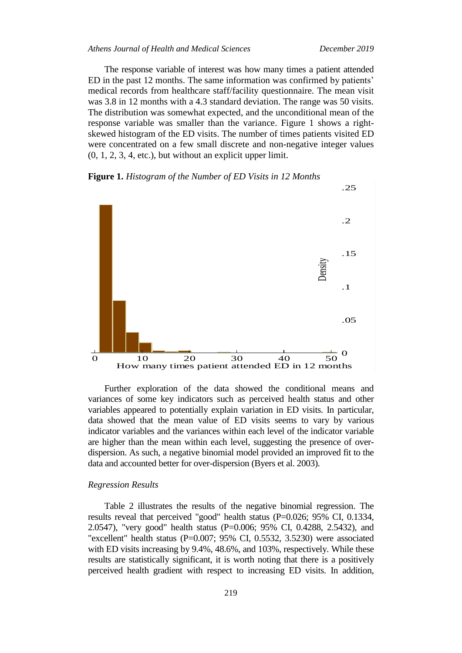The response variable of interest was how many times a patient attended ED in the past 12 months. The same information was confirmed by patients' medical records from healthcare staff/facility questionnaire. The mean visit was 3.8 in 12 months with a 4.3 standard deviation. The range was 50 visits. The distribution was somewhat expected, and the unconditional mean of the response variable was smaller than the variance. Figure 1 shows a rightskewed histogram of the ED visits. The number of times patients visited ED were concentrated on a few small discrete and non-negative integer values (0, 1, 2, 3, 4, etc.), but without an explicit upper limit.

# **Figure 1.** *Histogram of the Number of ED Visits in 12 Months*



Further exploration of the data showed the conditional means and variances of some key indicators such as perceived health status and other variables appeared to potentially explain variation in ED visits. In particular, data showed that the mean value of ED visits seems to vary by various indicator variables and the variances within each level of the indicator variable are higher than the mean within each level, suggesting the presence of overdispersion. As such, a negative binomial model provided an improved fit to the data and accounted better for over-dispersion (Byers et al. 2003).

#### *Regression Results*

Table 2 illustrates the results of the negative binomial regression. The results reveal that perceived "good" health status (P=0.026; 95% CI, 0.1334, 2.0547), "very good" health status (P=0.006; 95% CI, 0.4288, 2.5432), and "excellent" health status (P=0.007; 95% CI, 0.5532, 3.5230) were associated with ED visits increasing by 9.4%, 48.6%, and 103%, respectively. While these results are statistically significant, it is worth noting that there is a positively perceived health gradient with respect to increasing ED visits. In addition,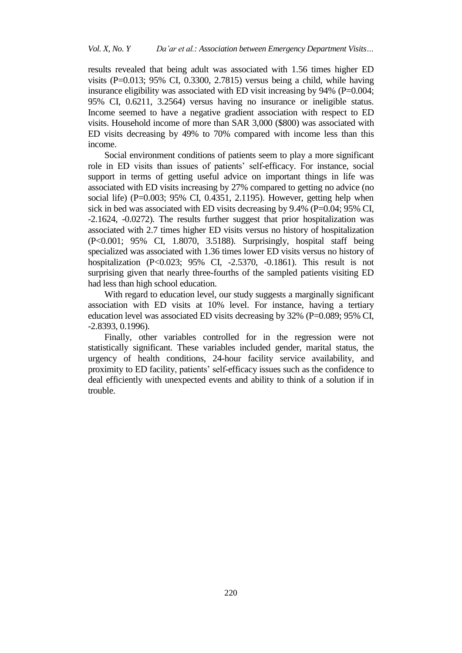results revealed that being adult was associated with 1.56 times higher ED visits ( $P=0.013$ ; 95% CI, 0.3300, 2.7815) versus being a child, while having insurance eligibility was associated with ED visit increasing by 94% (P=0.004; 95% CI, 0.6211, 3.2564) versus having no insurance or ineligible status. Income seemed to have a negative gradient association with respect to ED visits. Household income of more than SAR 3,000 (\$800) was associated with ED visits decreasing by 49% to 70% compared with income less than this income.

Social environment conditions of patients seem to play a more significant role in ED visits than issues of patients' self-efficacy. For instance, social support in terms of getting useful advice on important things in life was associated with ED visits increasing by 27% compared to getting no advice (no social life) (P=0.003; 95% CI, 0.4351, 2.1195). However, getting help when sick in bed was associated with ED visits decreasing by 9.4% (P=0.04; 95% CI, -2.1624, -0.0272). The results further suggest that prior hospitalization was associated with 2.7 times higher ED visits versus no history of hospitalization (P<0.001; 95% CI, 1.8070, 3.5188). Surprisingly, hospital staff being specialized was associated with 1.36 times lower ED visits versus no history of hospitalization (P<0.023; 95% CI, -2.5370, -0.1861). This result is not surprising given that nearly three-fourths of the sampled patients visiting ED had less than high school education.

With regard to education level, our study suggests a marginally significant association with ED visits at 10% level. For instance, having a tertiary education level was associated ED visits decreasing by 32% (P=0.089; 95% CI, -2.8393, 0.1996).

Finally, other variables controlled for in the regression were not statistically significant. These variables included gender, marital status, the urgency of health conditions, 24-hour facility service availability, and proximity to ED facility, patients' self-efficacy issues such as the confidence to deal efficiently with unexpected events and ability to think of a solution if in trouble.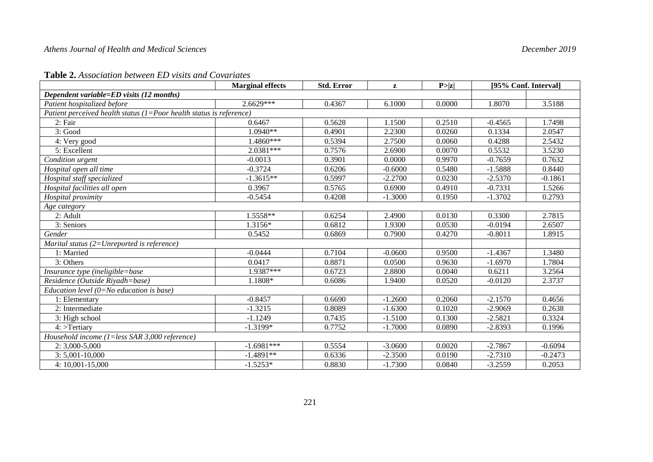# *Athens Journal of Health and Medical Sciences December 2019*

|                                                                           | <b>Marginal effects</b> | <b>Std. Error</b> | ${\bf z}$ | P >  z | [95% Conf. Interval] |           |  |  |
|---------------------------------------------------------------------------|-------------------------|-------------------|-----------|--------|----------------------|-----------|--|--|
| Dependent variable=ED visits (12 months)                                  |                         |                   |           |        |                      |           |  |  |
| Patient hospitalized before                                               | 2.6629***               | 0.4367            | 6.1000    | 0.0000 | 1.8070               | 3.5188    |  |  |
| Patient perceived health status ( $1 = P$ oor health status is reference) |                         |                   |           |        |                      |           |  |  |
| 2: Fair                                                                   | 0.6467                  | 0.5628            | 1.1500    | 0.2510 | $-0.4565$            | 1.7498    |  |  |
| 3: Good                                                                   | 1.0940**                | 0.4901            | 2.2300    | 0.0260 | 0.1334               | 2.0547    |  |  |
| 4: Very good                                                              | 1.4860***               | 0.5394            | 2.7500    | 0.0060 | 0.4288               | 2.5432    |  |  |
| 5: Excellent                                                              | $2.0381***$             | 0.7576            | 2.6900    | 0.0070 | 0.5532               | 3.5230    |  |  |
| Condition urgent                                                          | $-0.0013$               | 0.3901            | 0.0000    | 0.9970 | $-0.7659$            | 0.7632    |  |  |
| Hospital open all time                                                    | $-0.3724$               | 0.6206            | $-0.6000$ | 0.5480 | $-1.5888$            | 0.8440    |  |  |
| Hospital staff specialized                                                | $-1.3615**$             | 0.5997            | $-2.2700$ | 0.0230 | $-2.5370$            | $-0.1861$ |  |  |
| Hospital facilities all open                                              | 0.3967                  | 0.5765            | 0.6900    | 0.4910 | $-0.7331$            | 1.5266    |  |  |
| Hospital proximity                                                        | $-0.5454$               | 0.4208            | $-1.3000$ | 0.1950 | $-1.3702$            | 0.2793    |  |  |
| Age category                                                              |                         |                   |           |        |                      |           |  |  |
| 2: Adult                                                                  | $1.5558**$              | 0.6254            | 2.4900    | 0.0130 | 0.3300               | 2.7815    |  |  |
| 3: Seniors                                                                | 1.3156*                 | 0.6812            | 1.9300    | 0.0530 | $-0.0194$            | 2.6507    |  |  |
| Gender                                                                    | 0.5452                  | 0.6869            | 0.7900    | 0.4270 | $-0.8011$            | 1.8915    |  |  |
| Marital status $(2=Unreported \ is \ reference)$                          |                         |                   |           |        |                      |           |  |  |
| 1: Married                                                                | $-0.0444$               | 0.7104            | $-0.0600$ | 0.9500 | $-1.4367$            | 1.3480    |  |  |
| 3: Others                                                                 | 0.0417                  | 0.8871            | 0.0500    | 0.9630 | $-1.6970$            | 1.7804    |  |  |
| Insurance type (ineligible=base                                           | 1.9387***               | 0.6723            | 2.8800    | 0.0040 | 0.6211               | 3.2564    |  |  |
| Residence (Outside Rivadh=base)                                           | 1.1808*                 | 0.6086            | 1.9400    | 0.0520 | $-0.0120$            | 2.3737    |  |  |
| Education level $(0=No$ education is base)                                |                         |                   |           |        |                      |           |  |  |
| 1: Elementary                                                             | $-0.8457$               | 0.6690            | $-1.2600$ | 0.2060 | $-2.1570$            | 0.4656    |  |  |
| 2: Intermediate                                                           | $-1.3215$               | 0.8089            | $-1.6300$ | 0.1020 | $-2.9069$            | 0.2638    |  |  |
| 3: High school                                                            | $-1.1249$               | 0.7435            | $-1.5100$ | 0.1300 | $-2.5821$            | 0.3324    |  |  |
| $4$ : >Tertiary                                                           | $-1.3199*$              | 0.7752            | $-1.7000$ | 0.0890 | $-2.8393$            | 0.1996    |  |  |
| Household income (1=less SAR 3,000 reference)                             |                         |                   |           |        |                      |           |  |  |
| $2: 3,000 - 5,000$                                                        | $-1.6981***$            | 0.5554            | $-3.0600$ | 0.0020 | $-2.7867$            | $-0.6094$ |  |  |
| $3: 5,001-10,000$                                                         | $-1.4891**$             | 0.6336            | $-2.3500$ | 0.0190 | $-2.7310$            | $-0.2473$ |  |  |
| 4: 10,001-15,000                                                          | $-1.5253*$              | 0.8830            | $-1.7300$ | 0.0840 | $-3.2559$            | 0.2053    |  |  |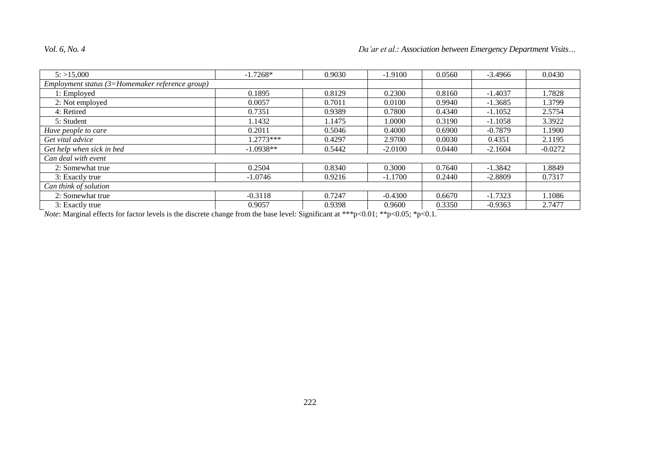| 5: >15,000                                          | $-1.7268*$  | 0.9030 | $-1.9100$ | 0.0560 | $-3.4966$ | 0.0430    |  |
|-----------------------------------------------------|-------------|--------|-----------|--------|-----------|-----------|--|
| Employment status $(3)$ =Homemaker reference group) |             |        |           |        |           |           |  |
| 1: Employed                                         | 0.1895      | 0.8129 | 0.2300    | 0.8160 | $-1.4037$ | 1.7828    |  |
| 2: Not employed                                     | 0.0057      | 0.7011 | 0.0100    | 0.9940 | $-1.3685$ | 1.3799    |  |
| 4: Retired                                          | 0.7351      | 0.9389 | 0.7800    | 0.4340 | $-1.1052$ | 2.5754    |  |
| 5: Student                                          | 1.1432      | 1.1475 | 1.0000    | 0.3190 | $-1.1058$ | 3.3922    |  |
| Have people to care                                 | 0.2011      | 0.5046 | 0.4000    | 0.6900 | $-0.7879$ | 1.1900    |  |
| Get vital advice                                    | $1.2773***$ | 0.4297 | 2.9700    | 0.0030 | 0.4351    | 2.1195    |  |
| Get help when sick in bed                           | $-1.0938**$ | 0.5442 | $-2.0100$ | 0.0440 | $-2.1604$ | $-0.0272$ |  |
| Can deal with event                                 |             |        |           |        |           |           |  |
| 2: Somewhat true                                    | 0.2504      | 0.8340 | 0.3000    | 0.7640 | $-1.3842$ | 1.8849    |  |
| 3: Exactly true                                     | $-1.0746$   | 0.9216 | $-1.1700$ | 0.2440 | $-2.8809$ | 0.7317    |  |
| Can think of solution                               |             |        |           |        |           |           |  |
| 2: Somewhat true                                    | $-0.3118$   | 0.7247 | $-0.4300$ | 0.6670 | $-1.7323$ | 1.1086    |  |
| 3: Exactly true                                     | 0.9057      | 0.9398 | 0.9600    | 0.3350 | $-0.9363$ | 2.7477    |  |

*Note*: Marginal effects for factor levels is the discrete change from the base level: Significant at \*\*\*p<0.01; \*\*p<0.05; \*p<0.1.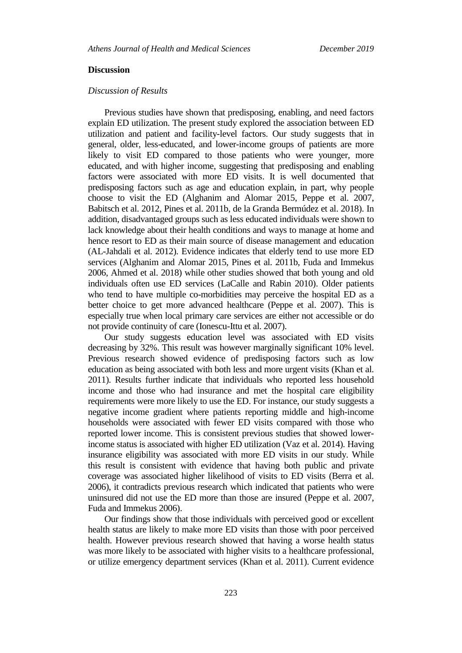# **Discussion**

# *Discussion of Results*

Previous studies have shown that predisposing, enabling, and need factors explain ED utilization. The present study explored the association between ED utilization and patient and facility-level factors. Our study suggests that in general, older, less-educated, and lower-income groups of patients are more likely to visit ED compared to those patients who were younger, more educated, and with higher income, suggesting that predisposing and enabling factors were associated with more ED visits. It is well documented that predisposing factors such as age and education explain, in part, why people choose to visit the ED (Alghanim and Alomar 2015, Peppe et al. 2007, Babitsch et al. 2012, Pines et al. 2011b, de la Granda Bermúdez et al. 2018). In addition, disadvantaged groups such as less educated individuals were shown to lack knowledge about their health conditions and ways to manage at home and hence resort to ED as their main source of disease management and education (AL-Jahdali et al. 2012). Evidence indicates that elderly tend to use more ED services (Alghanim and Alomar 2015, Pines et al. 2011b, Fuda and Immekus 2006, Ahmed et al. 2018) while other studies showed that both young and old individuals often use ED services (LaCalle and Rabin 2010). Older patients who tend to have multiple co-morbidities may perceive the hospital ED as a better choice to get more advanced healthcare (Peppe et al. 2007). This is especially true when local primary care services are either not accessible or do not provide continuity of care (Ionescu-Ittu et al. 2007).

Our study suggests education level was associated with ED visits decreasing by 32%. This result was however marginally significant 10% level. Previous research showed evidence of predisposing factors such as low education as being associated with both less and more urgent visits (Khan et al. 2011). Results further indicate that individuals who reported less household income and those who had insurance and met the hospital care eligibility requirements were more likely to use the ED. For instance, our study suggests a negative income gradient where patients reporting middle and high-income households were associated with fewer ED visits compared with those who reported lower income. This is consistent previous studies that showed lowerincome status is associated with higher ED utilization (Vaz et al. 2014). Having insurance eligibility was associated with more ED visits in our study. While this result is consistent with evidence that having both public and private coverage was associated higher likelihood of visits to ED visits (Berra et al. 2006), it contradicts previous research which indicated that patients who were uninsured did not use the ED more than those are insured (Peppe et al. 2007, Fuda and Immekus 2006).

Our findings show that those individuals with perceived good or excellent health status are likely to make more ED visits than those with poor perceived health. However previous research showed that having a worse health status was more likely to be associated with higher visits to a healthcare professional, or utilize emergency department services (Khan et al. 2011). Current evidence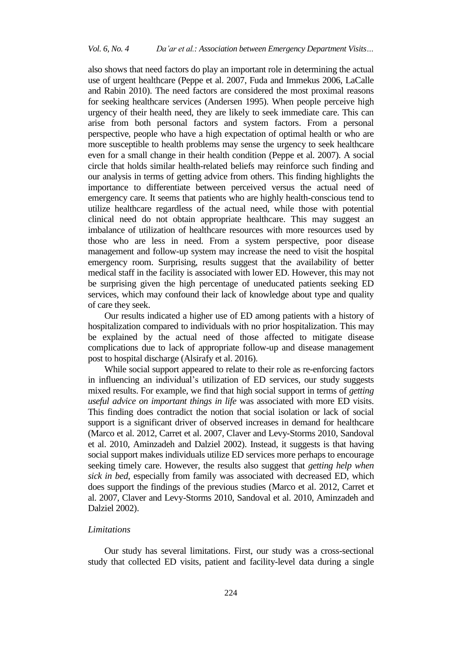also shows that need factors do play an important role in determining the actual use of urgent healthcare (Peppe et al. 2007, Fuda and Immekus 2006, LaCalle and Rabin 2010). The need factors are considered the most proximal reasons for seeking healthcare services (Andersen 1995). When people perceive high urgency of their health need, they are likely to seek immediate care. This can arise from both personal factors and system factors. From a personal perspective, people who have a high expectation of optimal health or who are more susceptible to health problems may sense the urgency to seek healthcare even for a small change in their health condition (Peppe et al. 2007). A social circle that holds similar health-related beliefs may reinforce such finding and our analysis in terms of getting advice from others. This finding highlights the importance to differentiate between perceived versus the actual need of emergency care. It seems that patients who are highly health-conscious tend to utilize healthcare regardless of the actual need, while those with potential clinical need do not obtain appropriate healthcare. This may suggest an imbalance of utilization of healthcare resources with more resources used by those who are less in need. From a system perspective, poor disease management and follow-up system may increase the need to visit the hospital emergency room. Surprising, results suggest that the availability of better medical staff in the facility is associated with lower ED. However, this may not be surprising given the high percentage of uneducated patients seeking ED services, which may confound their lack of knowledge about type and quality of care they seek.

Our results indicated a higher use of ED among patients with a history of hospitalization compared to individuals with no prior hospitalization. This may be explained by the actual need of those affected to mitigate disease complications due to lack of appropriate follow-up and disease management post to hospital discharge (Alsirafy et al. 2016).

While social support appeared to relate to their role as re-enforcing factors in influencing an individual's utilization of ED services, our study suggests mixed results. For example, we find that high social support in terms of *getting useful advice on important things in life* was associated with more ED visits. This finding does contradict the notion that social isolation or lack of social support is a significant driver of observed increases in demand for healthcare (Marco et al. 2012, Carret et al. 2007, Claver and Levy-Storms 2010, Sandoval et al. 2010, Aminzadeh and Dalziel 2002). Instead, it suggests is that having social support makes individuals utilize ED services more perhaps to encourage seeking timely care. However, the results also suggest that *getting help when sick in bed*, especially from family was associated with decreased ED, which does support the findings of the previous studies (Marco et al. 2012, Carret et al. 2007, Claver and Levy-Storms 2010, Sandoval et al. 2010, Aminzadeh and Dalziel 2002).

# *Limitations*

Our study has several limitations. First, our study was a cross-sectional study that collected ED visits, patient and facility-level data during a single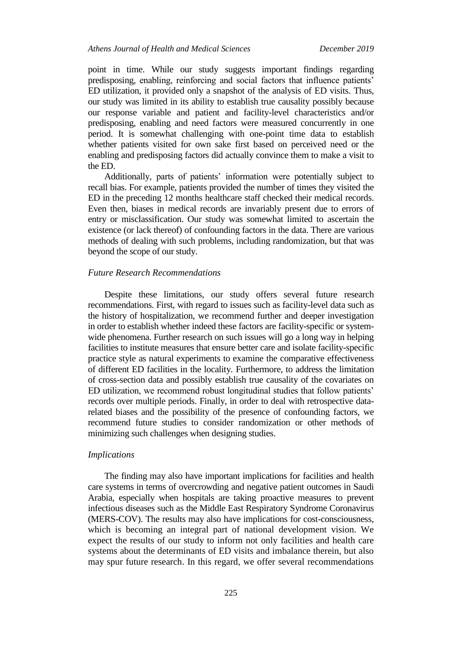point in time. While our study suggests important findings regarding predisposing, enabling, reinforcing and social factors that influence patients' ED utilization, it provided only a snapshot of the analysis of ED visits. Thus, our study was limited in its ability to establish true causality possibly because our response variable and patient and facility-level characteristics and/or predisposing, enabling and need factors were measured concurrently in one period. It is somewhat challenging with one-point time data to establish whether patients visited for own sake first based on perceived need or the enabling and predisposing factors did actually convince them to make a visit to the ED.

Additionally, parts of patients' information were potentially subject to recall bias. For example, patients provided the number of times they visited the ED in the preceding 12 months healthcare staff checked their medical records. Even then, biases in medical records are invariably present due to errors of entry or misclassification. Our study was somewhat limited to ascertain the existence (or lack thereof) of confounding factors in the data. There are various methods of dealing with such problems, including randomization, but that was beyond the scope of our study.

#### *Future Research Recommendations*

Despite these limitations, our study offers several future research recommendations. First, with regard to issues such as facility-level data such as the history of hospitalization, we recommend further and deeper investigation in order to establish whether indeed these factors are facility-specific or systemwide phenomena. Further research on such issues will go a long way in helping facilities to institute measures that ensure better care and isolate facility-specific practice style as natural experiments to examine the comparative effectiveness of different ED facilities in the locality. Furthermore, to address the limitation of cross-section data and possibly establish true causality of the covariates on ED utilization, we recommend robust longitudinal studies that follow patients' records over multiple periods. Finally, in order to deal with retrospective datarelated biases and the possibility of the presence of confounding factors, we recommend future studies to consider randomization or other methods of minimizing such challenges when designing studies.

#### *Implications*

The finding may also have important implications for facilities and health care systems in terms of overcrowding and negative patient outcomes in Saudi Arabia, especially when hospitals are taking proactive measures to prevent infectious diseases such as the Middle East Respiratory Syndrome Coronavirus (MERS-COV). The results may also have implications for cost-consciousness, which is becoming an integral part of national development vision. We expect the results of our study to inform not only facilities and health care systems about the determinants of ED visits and imbalance therein, but also may spur future research. In this regard, we offer several recommendations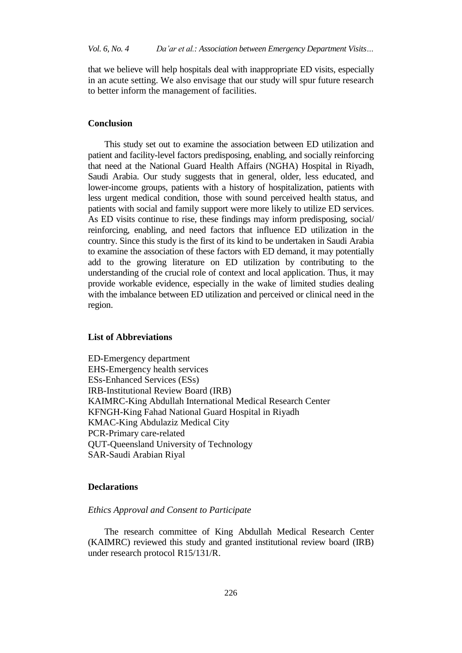that we believe will help hospitals deal with inappropriate ED visits, especially in an acute setting. We also envisage that our study will spur future research to better inform the management of facilities.

# **Conclusion**

This study set out to examine the association between ED utilization and patient and facility-level factors predisposing, enabling, and socially reinforcing that need at the National Guard Health Affairs (NGHA) Hospital in Riyadh, Saudi Arabia. Our study suggests that in general, older, less educated, and lower-income groups, patients with a history of hospitalization, patients with less urgent medical condition, those with sound perceived health status, and patients with social and family support were more likely to utilize ED services. As ED visits continue to rise, these findings may inform predisposing, social/ reinforcing, enabling, and need factors that influence ED utilization in the country. Since this study is the first of its kind to be undertaken in Saudi Arabia to examine the association of these factors with ED demand, it may potentially add to the growing literature on ED utilization by contributing to the understanding of the crucial role of context and local application. Thus, it may provide workable evidence, especially in the wake of limited studies dealing with the imbalance between ED utilization and perceived or clinical need in the region.

# **List of Abbreviations**

ED-Emergency department EHS-Emergency health services ESs-Enhanced Services (ESs) IRB-Institutional Review Board (IRB) KAIMRC-King Abdullah International Medical Research Center KFNGH-King Fahad National Guard Hospital in Riyadh KMAC-King Abdulaziz Medical City PCR-Primary care-related QUT-Queensland University of Technology SAR-Saudi Arabian Riyal

# **Declarations**

#### *Ethics Approval and Consent to Participate*

The research committee of King Abdullah Medical Research Center (KAIMRC) reviewed this study and granted institutional review board (IRB) under research protocol R15/131/R.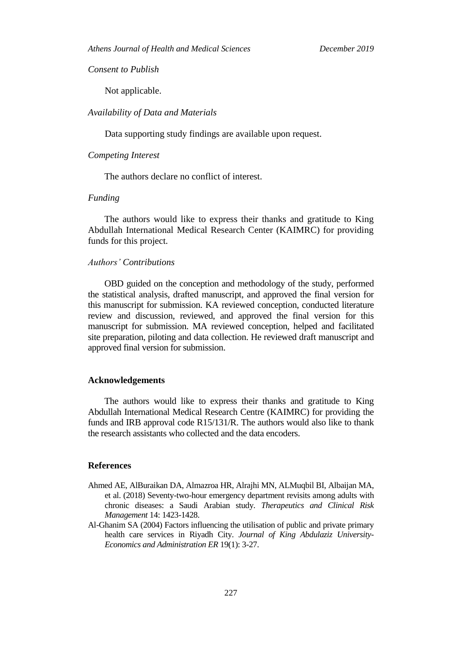*Consent to Publish*

Not applicable.

## *Availability of Data and Materials*

Data supporting study findings are available upon request.

### *Competing Interest*

The authors declare no conflict of interest.

### *Funding*

The authors would like to express their thanks and gratitude to King Abdullah International Medical Research Center (KAIMRC) for providing funds for this project.

# *Authors' Contributions*

OBD guided on the conception and methodology of the study, performed the statistical analysis, drafted manuscript, and approved the final version for this manuscript for submission. KA reviewed conception, conducted literature review and discussion, reviewed, and approved the final version for this manuscript for submission. MA reviewed conception, helped and facilitated site preparation, piloting and data collection. He reviewed draft manuscript and approved final version for submission.

## **Acknowledgements**

The authors would like to express their thanks and gratitude to King Abdullah International Medical Research Centre (KAIMRC) for providing the funds and IRB approval code R15/131/R. The authors would also like to thank the research assistants who collected and the data encoders.

### **References**

- Ahmed AE, AlBuraikan DA, Almazroa HR, Alrajhi MN, ALMuqbil BI, Albaijan MA, et al. (2018) Seventy-two-hour emergency department revisits among adults with chronic diseases: a Saudi Arabian study. *Therapeutics and Clinical Risk Management* 14: 1423-1428.
- Al-Ghanim SA (2004) Factors influencing the utilisation of public and private primary health care services in Riyadh City. *Journal of King Abdulaziz University-Economics and Administration ER* 19(1): 3-27.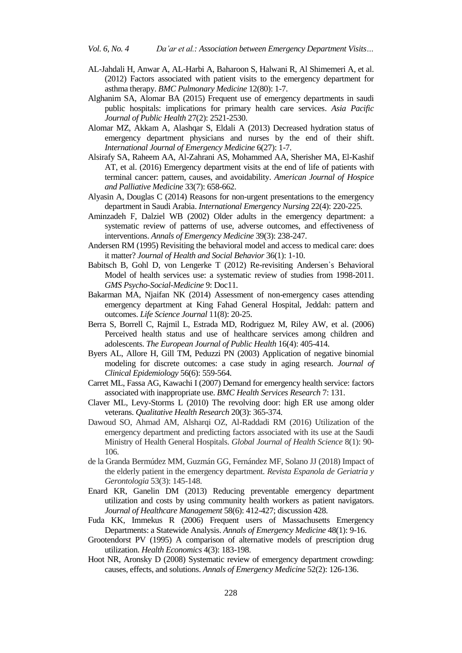- AL-Jahdali H, Anwar A, AL-Harbi A, Baharoon S, Halwani R, Al Shimemeri A, et al. (2012) Factors associated with patient visits to the emergency department for asthma therapy. *BMC Pulmonary Medicine* 12(80): 1-7.
- Alghanim SA, Alomar BA (2015) Frequent use of emergency departments in saudi public hospitals: implications for primary health care services. *Asia Pacific Journal of Public Health* 27(2): 2521-2530.
- Alomar MZ, Akkam A, Alashqar S, Eldali A (2013) Decreased hydration status of emergency department physicians and nurses by the end of their shift. *International Journal of Emergency Medicine* 6(27): 1-7.
- Alsirafy SA, Raheem AA, Al-Zahrani AS, Mohammed AA, Sherisher MA, El-Kashif AT, et al. (2016) Emergency department visits at the end of life of patients with terminal cancer: pattern, causes, and avoidability. *American Journal of Hospice and Palliative Medicine* 33(7): 658-662.
- Alyasin A, Douglas C (2014) Reasons for non-urgent presentations to the emergency department in Saudi Arabia. *International Emergency Nursing* 22(4): 220-225.
- Aminzadeh F, Dalziel WB (2002) Older adults in the emergency department: a systematic review of patterns of use, adverse outcomes, and effectiveness of interventions. *Annals of Emergency Medicine* 39(3): 238-247.
- Andersen RM (1995) Revisiting the behavioral model and access to medical care: does it matter? *Journal of Health and Social Behavior* 36(1): 1-10.
- Babitsch B, Gohl D, von Lengerke T (2012) Re-revisiting Andersen᾽s Behavioral Model of health services use: a systematic review of studies from 1998-2011. *GMS Psycho-Social-Medicine* 9: Doc11.
- Bakarman MA, Njaifan NK (2014) Assessment of non-emergency cases attending emergency department at King Fahad General Hospital, Jeddah: pattern and outcomes. *Life Science Journal* 11(8): 20-25.
- Berra S, Borrell C, Rajmil L, Estrada MD, Rodriguez M, Riley AW, et al. (2006) Perceived health status and use of healthcare services among children and adolescents. *The European Journal of Public Health* 16(4): 405-414.
- Byers AL, Allore H, Gill TM, Peduzzi PN (2003) Application of negative binomial modeling for discrete outcomes: a case study in aging research. *Journal of Clinical Epidemiology* 56(6): 559-564.
- Carret ML, Fassa AG, Kawachi I (2007) Demand for emergency health service: factors associated with inappropriate use. *BMC Health Services Research* 7: 131.
- Claver ML, Levy-Storms L (2010) The revolving door: high ER use among older veterans. *Qualitative Health Research* 20(3): 365-374.
- Dawoud SO, Ahmad AM, Alsharqi OZ, Al-Raddadi RM (2016) Utilization of the emergency department and predicting factors associated with its use at the Saudi Ministry of Health General Hospitals. *Global Journal of Health Science* 8(1): 90- 106.
- de la Granda Bermúdez MM, Guzmán GG, Fernández MF, Solano JJ (2018) Impact of the elderly patient in the emergency department. *Revista Espanola de Geriatria y Gerontologia* 53(3): 145-148.
- Enard KR, Ganelin DM (2013) Reducing preventable emergency department utilization and costs by using community health workers as patient navigators. *Journal of Healthcare Management* 58(6): 412-427; discussion 428.
- Fuda KK, Immekus R (2006) Frequent users of Massachusetts Emergency Departments: a Statewide Analysis. *Annals of Emergency Medicine* 48(1): 9-16.
- Grootendorst PV (1995) A comparison of alternative models of prescription drug utilization. *Health Economics* 4(3): 183-198.
- Hoot NR, Aronsky D (2008) Systematic review of emergency department crowding: causes, effects, and solutions. *Annals of Emergency Medicine* 52(2): 126-136.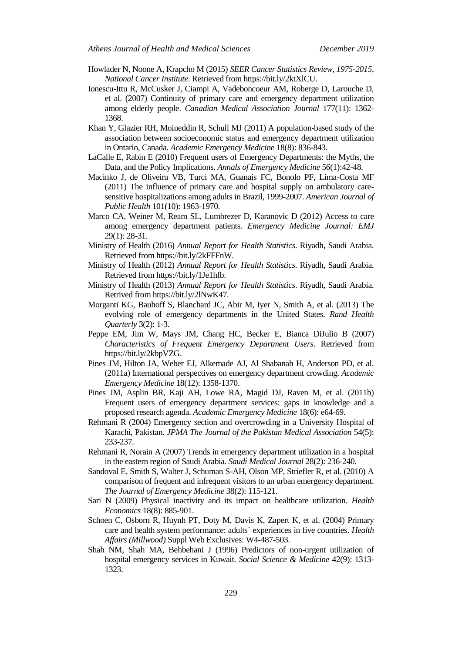- Howlader N, Noone A, Krapcho M (2015) *SEER Cancer Statistics Review, 1975-2015*, *National Cancer Institute*. Retrieved from https://bit.ly/2ktXlCU.
- Ionescu-Ittu R, McCusker J, Ciampi A, Vadeboncoeur AM, Roberge D, Larouche D, et al. (2007) Continuity of primary care and emergency department utilization among elderly people. *Canadian Medical Association Journal* 177(11): 1362- 1368.
- Khan Y, Glazier RH, Moineddin R, Schull MJ (2011) A population-based study of the association between socioeconomic status and emergency department utilization in Ontario, Canada. *Academic Emergency Medicine* 18(8): 836-843.
- LaCalle E, Rabin E (2010) Frequent users of Emergency Departments: the Myths, the Data, and the Policy Implications. *Annals of Emergency Medicine* 56(1):42-48.
- Macinko J, de Oliveira VB, Turci MA, Guanais FC, Bonolo PF, Lima-Costa MF (2011) The influence of primary care and hospital supply on ambulatory caresensitive hospitalizations among adults in Brazil, 1999-2007. *American Journal of Public Health* 101(10): 1963-1970.
- Marco CA, Weiner M, Ream SL, Lumbrezer D, Karanovic D (2012) Access to care among emergency department patients. *Emergency Medicine Journal: EMJ* 29(1): 28-31.
- Ministry of Health (2016) *Annual Report for Health Statistics*. Riyadh, Saudi Arabia. Retrieved from https://bit.ly/2kFFFnW.
- Ministry of Health (2012) *Annual Report for Health Statistics*. Riyadh, Saudi Arabia. Retrieved from https://bit.ly/1Je1hfb.
- Ministry of Health (2013) *Annual Report for Health Statistics*. Riyadh, Saudi Arabia. Retrived from https://bit.ly/2lNwK47.
- Morganti KG, Bauhoff S, Blanchard JC, Abir M, Iyer N, Smith A, et al. (2013) The evolving role of emergency departments in the United States. *Rand Health Quarterly* 3(2): 1-3.
- Peppe EM, Jim W, Mays JM, Chang HC, Becker E, Bianca DiJulio B (2007) *Characteristics of Frequent Emergency Department Users*. Retrieved from https://bit.ly/2kbpVZG.
- Pines JM, Hilton JA, Weber EJ, Alkemade AJ, Al Shabanah H, Anderson PD, et al. (2011a) International perspectives on emergency department crowding. *Academic Emergency Medicine* 18(12): 1358-1370.
- Pines JM, Asplin BR, Kaji AH, Lowe RA, Magid DJ, Raven M, et al. (2011b) Frequent users of emergency department services: gaps in knowledge and a proposed research agenda. *Academic Emergency Medicine* 18(6): e64-69.
- Rehmani R (2004) Emergency section and overcrowding in a University Hospital of Karachi, Pakistan. *JPMA The Journal of the Pakistan Medical Association* 54(5): 233-237.
- Rehmani R, Norain A (2007) Trends in emergency department utilization in a hospital in the eastern region of Saudi Arabia. *Saudi Medical Journal* 28(2): 236-240.
- Sandoval E, Smith S, Walter J, Schuman S-AH, Olson MP, Striefler R, et al. (2010) A comparison of frequent and infrequent visitors to an urban emergency department. *The Journal of Emergency Medicine* 38(2): 115-121.
- Sari N (2009) Physical inactivity and its impact on healthcare utilization. *Health Economics* 18(8): 885-901.
- Schoen C, Osborn R, Huynh PT, Doty M, Davis K, Zapert K, et al. (2004) Primary care and health system performance: adults᾽ experiences in five countries. *Health Affairs (Millwood)* Suppl Web Exclusives: W4-487-503.
- Shah NM, Shah MA, Behbehani J (1996) Predictors of non-urgent utilization of hospital emergency services in Kuwait. *Social Science & Medicine* 42(9): 1313- 1323.